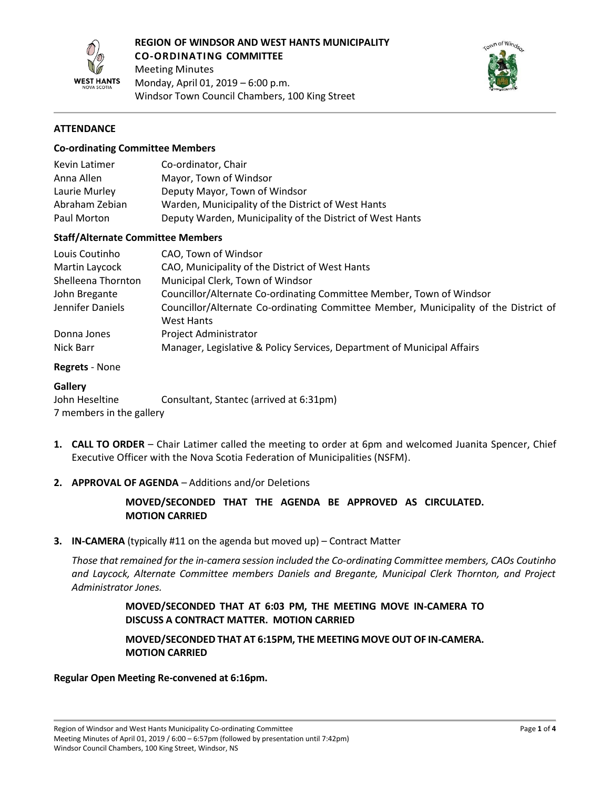



## **ATTENDANCE**

#### **Co-ordinating Committee Members**

| Kevin Latimer  | Co-ordinator, Chair                                       |
|----------------|-----------------------------------------------------------|
| Anna Allen     | Mayor, Town of Windsor                                    |
| Laurie Murley  | Deputy Mayor, Town of Windsor                             |
| Abraham Zebian | Warden, Municipality of the District of West Hants        |
| Paul Morton    | Deputy Warden, Municipality of the District of West Hants |

### **Staff/Alternate Committee Members**

| Louis Coutinho     | CAO, Town of Windsor                                                                 |
|--------------------|--------------------------------------------------------------------------------------|
| Martin Laycock     | CAO, Municipality of the District of West Hants                                      |
| Shelleena Thornton | Municipal Clerk, Town of Windsor                                                     |
| John Bregante      | Councillor/Alternate Co-ordinating Committee Member, Town of Windsor                 |
| Jennifer Daniels   | Councillor/Alternate Co-ordinating Committee Member, Municipality of the District of |
|                    | West Hants                                                                           |
| Donna Jones        | Project Administrator                                                                |
| Nick Barr          | Manager, Legislative & Policy Services, Department of Municipal Affairs              |

### **Regrets** - None

#### **Gallery**

John Heseltine Consultant, Stantec (arrived at 6:31pm) 7 members in the gallery

**1. CALL TO ORDER** – Chair Latimer called the meeting to order at 6pm and welcomed Juanita Spencer, Chief Executive Officer with the Nova Scotia Federation of Municipalities (NSFM).

## **2. APPROVAL OF AGENDA** – Additions and/or Deletions

# **MOVED/SECONDED THAT THE AGENDA BE APPROVED AS CIRCULATED. MOTION CARRIED**

#### **3. IN-CAMERA** (typically #11 on the agenda but moved up) – Contract Matter

*Those that remained for the in-camera session included the Co-ordinating Committee members, CAOs Coutinho and Laycock, Alternate Committee members Daniels and Bregante, Municipal Clerk Thornton, and Project Administrator Jones.*

# **MOVED/SECONDED THAT AT 6:03 PM, THE MEETING MOVE IN-CAMERA TO DISCUSS A CONTRACT MATTER. MOTION CARRIED**

## **MOVED/SECONDED THAT AT 6:15PM, THE MEETING MOVE OUT OF IN-CAMERA. MOTION CARRIED**

#### **Regular Open Meeting Re-convened at 6:16pm.**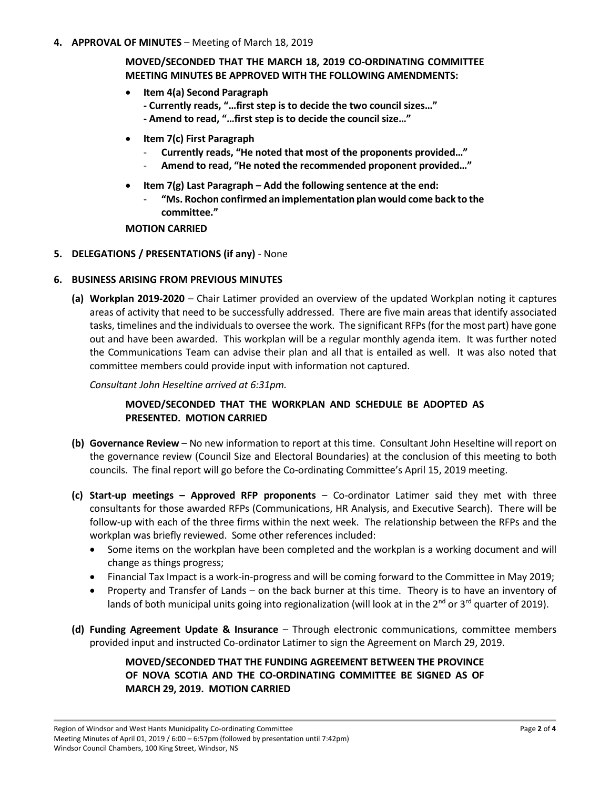**4. APPROVAL OF MINUTES** – Meeting of March 18, 2019

**MOVED/SECONDED THAT THE MARCH 18, 2019 CO-ORDINATING COMMITTEE MEETING MINUTES BE APPROVED WITH THE FOLLOWING AMENDMENTS:**

- **Item 4(a) Second Paragraph**
	- **- Currently reads, "…first step is to decide the two council sizes…"**
	- **- Amend to read, "…first step is to decide the council size…"**
- **Item 7(c) First Paragraph**
	- **Currently reads, "He noted that most of the proponents provided…"**
	- **Amend to read, "He noted the recommended proponent provided…"**
- **Item 7(g) Last Paragraph – Add the following sentence at the end:**
	- **"Ms. Rochon confirmed an implementation plan would come back to the committee."**

**MOTION CARRIED**

**5. DELEGATIONS / PRESENTATIONS (if any)** - None

### **6. BUSINESS ARISING FROM PREVIOUS MINUTES**

**(a) Workplan 2019-2020** – Chair Latimer provided an overview of the updated Workplan noting it captures areas of activity that need to be successfully addressed. There are five main areas that identify associated tasks, timelines and the individuals to oversee the work. The significant RFPs (for the most part) have gone out and have been awarded. This workplan will be a regular monthly agenda item. It was further noted the Communications Team can advise their plan and all that is entailed as well. It was also noted that committee members could provide input with information not captured.

*Consultant John Heseltine arrived at 6:31pm.*

# **MOVED/SECONDED THAT THE WORKPLAN AND SCHEDULE BE ADOPTED AS PRESENTED. MOTION CARRIED**

- **(b) Governance Review** No new information to report at this time. Consultant John Heseltine will report on the governance review (Council Size and Electoral Boundaries) at the conclusion of this meeting to both councils. The final report will go before the Co-ordinating Committee's April 15, 2019 meeting.
- **(c) Start-up meetings – Approved RFP proponents** Co-ordinator Latimer said they met with three consultants for those awarded RFPs (Communications, HR Analysis, and Executive Search). There will be follow-up with each of the three firms within the next week. The relationship between the RFPs and the workplan was briefly reviewed. Some other references included:
	- Some items on the workplan have been completed and the workplan is a working document and will change as things progress;
	- Financial Tax Impact is a work-in-progress and will be coming forward to the Committee in May 2019;
	- Property and Transfer of Lands on the back burner at this time. Theory is to have an inventory of lands of both municipal units going into regionalization (will look at in the  $2^{nd}$  or 3<sup>rd</sup> quarter of 2019).
- **(d) Funding Agreement Update & Insurance** Through electronic communications, committee members provided input and instructed Co-ordinator Latimer to sign the Agreement on March 29, 2019.

# **MOVED/SECONDED THAT THE FUNDING AGREEMENT BETWEEN THE PROVINCE OF NOVA SCOTIA AND THE CO-ORDINATING COMMITTEE BE SIGNED AS OF MARCH 29, 2019. MOTION CARRIED**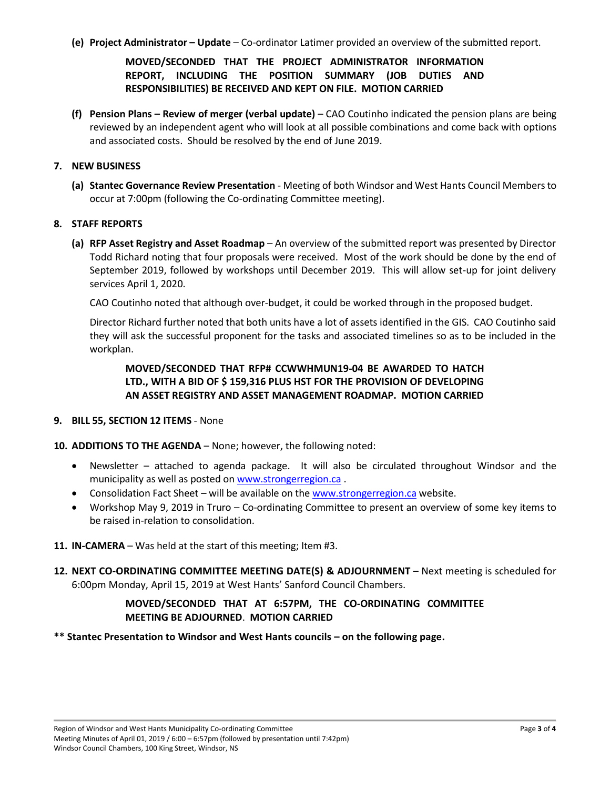**(e) Project Administrator – Update** – Co-ordinator Latimer provided an overview of the submitted report.

# **MOVED/SECONDED THAT THE PROJECT ADMINISTRATOR INFORMATION REPORT, INCLUDING THE POSITION SUMMARY (JOB DUTIES AND RESPONSIBILITIES) BE RECEIVED AND KEPT ON FILE. MOTION CARRIED**

**(f) Pension Plans – Review of merger (verbal update)** – CAO Coutinho indicated the pension plans are being reviewed by an independent agent who will look at all possible combinations and come back with options and associated costs. Should be resolved by the end of June 2019.

### **7. NEW BUSINESS**

**(a) Stantec Governance Review Presentation** - Meeting of both Windsor and West Hants Council Members to occur at 7:00pm (following the Co-ordinating Committee meeting).

### **8. STAFF REPORTS**

**(a) RFP Asset Registry and Asset Roadmap** – An overview of the submitted report was presented by Director Todd Richard noting that four proposals were received. Most of the work should be done by the end of September 2019, followed by workshops until December 2019. This will allow set-up for joint delivery services April 1, 2020.

CAO Coutinho noted that although over-budget, it could be worked through in the proposed budget.

Director Richard further noted that both units have a lot of assets identified in the GIS. CAO Coutinho said they will ask the successful proponent for the tasks and associated timelines so as to be included in the workplan.

# **MOVED/SECONDED THAT RFP# CCWWHMUN19-04 BE AWARDED TO HATCH LTD., WITH A BID OF \$ 159,316 PLUS HST FOR THE PROVISION OF DEVELOPING AN ASSET REGISTRY AND ASSET MANAGEMENT ROADMAP. MOTION CARRIED**

**9. BILL 55, SECTION 12 ITEMS** - None

## **10. ADDITIONS TO THE AGENDA** – None; however, the following noted:

- Newsletter attached to agenda package. It will also be circulated throughout Windsor and the municipality as well as posted on [www.strongerregion.ca](http://www.strongerregion.ca/) .
- Consolidation Fact Sheet will be available on th[e www.strongerregion.ca](http://www.strongerregion.ca/) website.
- Workshop May 9, 2019 in Truro Co-ordinating Committee to present an overview of some key items to be raised in-relation to consolidation.
- **11. IN-CAMERA** Was held at the start of this meeting; Item #3.
- **12. NEXT CO-ORDINATING COMMITTEE MEETING DATE(S) & ADJOURNMENT** Next meeting is scheduled for 6:00pm Monday, April 15, 2019 at West Hants' Sanford Council Chambers.

# **MOVED/SECONDED THAT AT 6:57PM, THE CO-ORDINATING COMMITTEE MEETING BE ADJOURNED**. **MOTION CARRIED**

**\*\* Stantec Presentation to Windsor and West Hants councils – on the following page.**